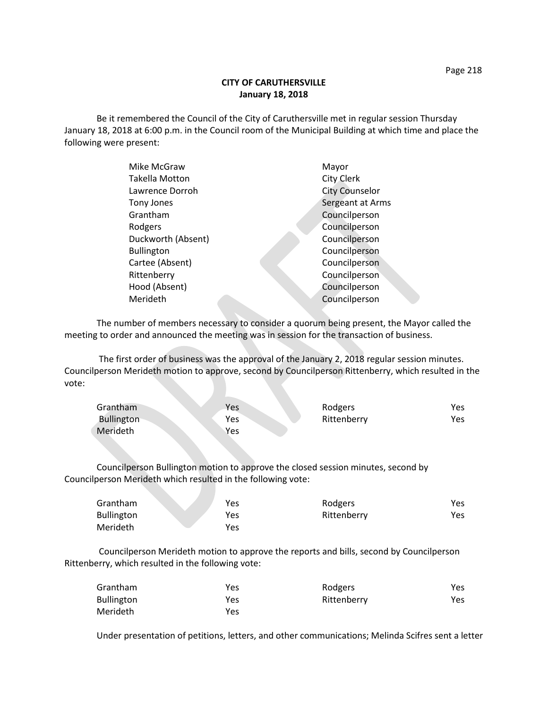## **CITY OF CARUTHERSVILLE January 18, 2018**

Be it remembered the Council of the City of Caruthersville met in regular session Thursday January 18, 2018 at 6:00 p.m. in the Council room of the Municipal Building at which time and place the following were present:

| Mike McGraw           | Mayor                 |
|-----------------------|-----------------------|
| <b>Takella Motton</b> | <b>City Clerk</b>     |
| Lawrence Dorroh       | <b>City Counselor</b> |
| Tony Jones            | Sergeant at Arms      |
| Grantham              | Councilperson         |
| Rodgers               | Councilperson         |
| Duckworth (Absent)    | Councilperson         |
| <b>Bullington</b>     | Councilperson         |
| Cartee (Absent)       | Councilperson         |
| Rittenberry           | Councilperson         |
| Hood (Absent)         | Councilperson         |
| Merideth              | Councilperson         |
|                       |                       |

The number of members necessary to consider a quorum being present, the Mayor called the meeting to order and announced the meeting was in session for the transaction of business.

The first order of business was the approval of the January 2, 2018 regular session minutes. Councilperson Merideth motion to approve, second by Councilperson Rittenberry, which resulted in the vote:

| Grantham   | Yes | Rodgers     | Yes. |
|------------|-----|-------------|------|
| Bullington | Yes | Rittenberry | Yes  |
| Merideth   | Yes |             |      |

Councilperson Bullington motion to approve the closed session minutes, second by Councilperson Merideth which resulted in the following vote:

| Grantham          | Yes  | Rodgers     | Yes. |
|-------------------|------|-------------|------|
| <b>Bullington</b> | Yes. | Rittenberry | Yes. |
| Merideth          | Yes  |             |      |

Councilperson Merideth motion to approve the reports and bills, second by Councilperson Rittenberry, which resulted in the following vote:

| Grantham          | Yes | Rodgers     | Yes |
|-------------------|-----|-------------|-----|
| <b>Bullington</b> | Yes | Rittenberry | Yes |
| Merideth          | Yes |             |     |

Under presentation of petitions, letters, and other communications; Melinda Scifres sent a letter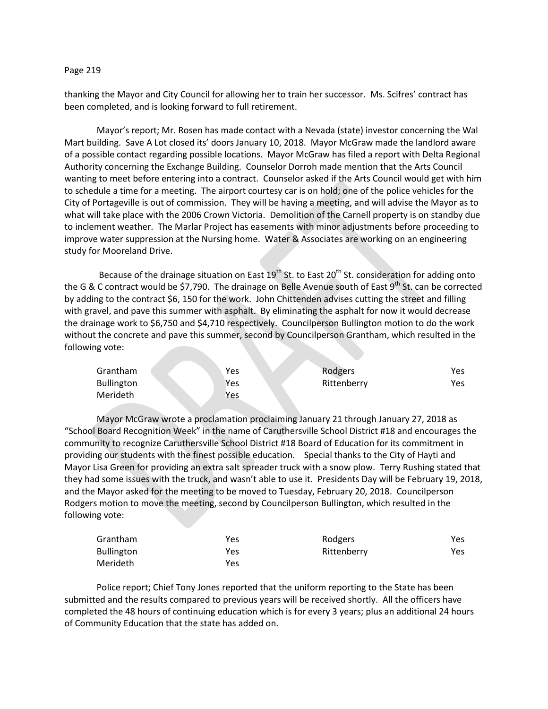## Page 219

thanking the Mayor and City Council for allowing her to train her successor. Ms. Scifres' contract has been completed, and is looking forward to full retirement.

Mayor's report; Mr. Rosen has made contact with a Nevada (state) investor concerning the Wal Mart building. Save A Lot closed its' doors January 10, 2018. Mayor McGraw made the landlord aware of a possible contact regarding possible locations. Mayor McGraw has filed a report with Delta Regional Authority concerning the Exchange Building. Counselor Dorroh made mention that the Arts Council wanting to meet before entering into a contract. Counselor asked if the Arts Council would get with him to schedule a time for a meeting. The airport courtesy car is on hold; one of the police vehicles for the City of Portageville is out of commission. They will be having a meeting, and will advise the Mayor as to what will take place with the 2006 Crown Victoria. Demolition of the Carnell property is on standby due to inclement weather. The Marlar Project has easements with minor adjustments before proceeding to improve water suppression at the Nursing home. Water & Associates are working on an engineering study for Mooreland Drive.

Because of the drainage situation on East 19<sup>th</sup> St. to East 20<sup>th</sup> St. consideration for adding onto the G & C contract would be \$7,790. The drainage on Belle Avenue south of East 9<sup>th</sup> St. can be corrected by adding to the contract \$6, 150 for the work. John Chittenden advises cutting the street and filling with gravel, and pave this summer with asphalt. By eliminating the asphalt for now it would decrease the drainage work to \$6,750 and \$4,710 respectively. Councilperson Bullington motion to do the work without the concrete and pave this summer, second by Councilperson Grantham, which resulted in the following vote:

| Grantham          | Yes | Rodgers     | Yes |
|-------------------|-----|-------------|-----|
| <b>Bullington</b> | Yes | Rittenberry | Yes |
| Merideth          | Yes |             |     |

Mayor McGraw wrote a proclamation proclaiming January 21 through January 27, 2018 as "School Board Recognition Week" in the name of Caruthersville School District #18 and encourages the community to recognize Caruthersville School District #18 Board of Education for its commitment in providing our students with the finest possible education. Special thanks to the City of Hayti and Mayor Lisa Green for providing an extra salt spreader truck with a snow plow. Terry Rushing stated that they had some issues with the truck, and wasn't able to use it. Presidents Day will be February 19, 2018, and the Mayor asked for the meeting to be moved to Tuesday, February 20, 2018. Councilperson Rodgers motion to move the meeting, second by Councilperson Bullington, which resulted in the following vote:

| Grantham          | Yes | Rodgers     | Yes. |
|-------------------|-----|-------------|------|
| <b>Bullington</b> | Yes | Rittenberry | Yes. |
| Merideth          | Yes |             |      |

Police report; Chief Tony Jones reported that the uniform reporting to the State has been submitted and the results compared to previous years will be received shortly. All the officers have completed the 48 hours of continuing education which is for every 3 years; plus an additional 24 hours of Community Education that the state has added on.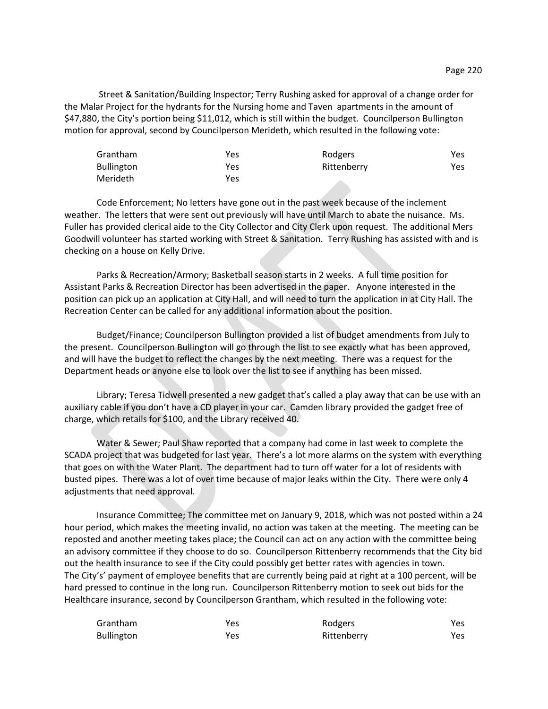Street & Sanitation/Building Inspector; Terry Rushing asked for approval of a change order for the Malar Project for the hydrants for the Nursing home and Taven apartments in the amount of \$47,880, the City's portion being \$11,012, which is still within the budget. Councilperson Bullington motion for approval, second by Councilperson Merideth, which resulted in the following vote:

| Grantham          | Yes | Rodgers     | Yes. |
|-------------------|-----|-------------|------|
| <b>Bullington</b> | Yes | Rittenberry | Yes  |
| Merideth          | Yes |             |      |

Code Enforcement; No letters have gone out in the past week because of the inclement weather. The letters that were sent out previously will have until March to abate the nuisance. Ms. Fuller has provided clerical aide to the City Collector and City Clerk upon request. The additional Mers Goodwill volunteer has started working with Street & Sanitation. Terry Rushing has assisted with and is checking on a house on Kelly Drive.

Parks & Recreation/Armory; Basketball season starts in 2 weeks. A full time position for Assistant Parks & Recreation Director has been advertised in the paper. Anyone interested in the position can pick up an application at City Hall, and will need to turn the application in at City Hall. The Recreation Center can be called for any additional information about the position.

Budget/Finance; Councilperson Bullington provided a list of budget amendments from July to the present. Councilperson Bullington will go through the list to see exactly what has been approved, and will have the budget to reflect the changes by the next meeting. There was a request for the Department heads or anyone else to look over the list to see if anything has been missed.

Library; Teresa Tidwell presented a new gadget that's called a play away that can be use with an auxiliary cable if you don't have a CD player in your car. Camden library provided the gadget free of charge, which retails for \$100, and the Library received 40.

Water & Sewer; Paul Shaw reported that a company had come in last week to complete the SCADA project that was budgeted for last year. There's a lot more alarms on the system with everything that goes on with the Water Plant. The department had to turn off water for a lot of residents with busted pipes. There was a lot of over time because of major leaks within the City. There were only 4 adjustments that need approval.

Insurance Committee; The committee met on January 9, 2018, which was not posted within a 24 hour period, which makes the meeting invalid, no action was taken at the meeting. The meeting can be reposted and another meeting takes place; the Council can act on any action with the committee being an advisory committee if they choose to do so. Councilperson Rittenberry recommends that the City bid out the health insurance to see if the City could possibly get better rates with agencies in town. The City's' payment of employee benefits that are currently being paid at right at a 100 percent, will be hard pressed to continue in the long run. Councilperson Rittenberry motion to seek out bids for the Healthcare insurance, second by Councilperson Grantham, which resulted in the following vote:

| Grantham   | Yes | Rodgers     | Yes. |
|------------|-----|-------------|------|
| Bullington | Yes | Rittenberry | Yes. |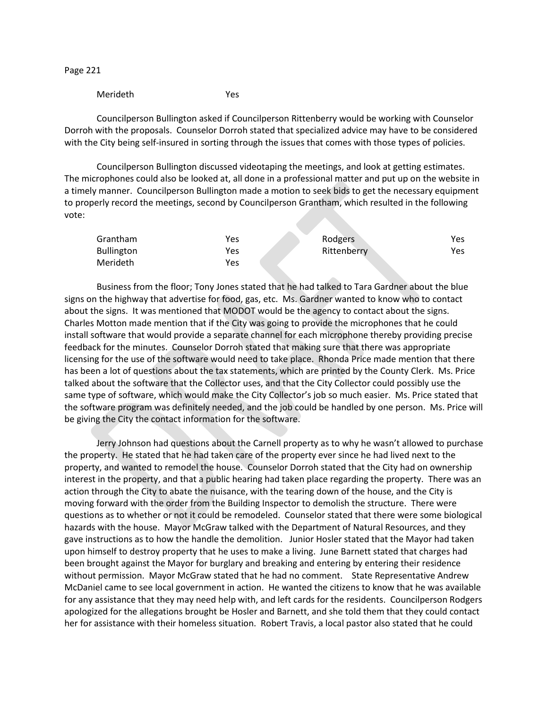Page 221

## Merideth Yes

Councilperson Bullington asked if Councilperson Rittenberry would be working with Counselor Dorroh with the proposals. Counselor Dorroh stated that specialized advice may have to be considered with the City being self-insured in sorting through the issues that comes with those types of policies.

Councilperson Bullington discussed videotaping the meetings, and look at getting estimates. The microphones could also be looked at, all done in a professional matter and put up on the website in a timely manner. Councilperson Bullington made a motion to seek bids to get the necessary equipment to properly record the meetings, second by Councilperson Grantham, which resulted in the following vote:

| Grantham          | Yes | Rodgers     | Yes. |
|-------------------|-----|-------------|------|
| <b>Bullington</b> | Yes | Rittenberry | Yes  |
| Merideth          | Yes |             |      |

Business from the floor; Tony Jones stated that he had talked to Tara Gardner about the blue signs on the highway that advertise for food, gas, etc. Ms. Gardner wanted to know who to contact about the signs. It was mentioned that MODOT would be the agency to contact about the signs. Charles Motton made mention that if the City was going to provide the microphones that he could install software that would provide a separate channel for each microphone thereby providing precise feedback for the minutes. Counselor Dorroh stated that making sure that there was appropriate licensing for the use of the software would need to take place. Rhonda Price made mention that there has been a lot of questions about the tax statements, which are printed by the County Clerk. Ms. Price talked about the software that the Collector uses, and that the City Collector could possibly use the same type of software, which would make the City Collector's job so much easier. Ms. Price stated that the software program was definitely needed, and the job could be handled by one person. Ms. Price will be giving the City the contact information for the software.

Jerry Johnson had questions about the Carnell property as to why he wasn't allowed to purchase the property. He stated that he had taken care of the property ever since he had lived next to the property, and wanted to remodel the house. Counselor Dorroh stated that the City had on ownership interest in the property, and that a public hearing had taken place regarding the property. There was an action through the City to abate the nuisance, with the tearing down of the house, and the City is moving forward with the order from the Building Inspector to demolish the structure. There were questions as to whether or not it could be remodeled. Counselor stated that there were some biological hazards with the house. Mayor McGraw talked with the Department of Natural Resources, and they gave instructions as to how the handle the demolition. Junior Hosler stated that the Mayor had taken upon himself to destroy property that he uses to make a living. June Barnett stated that charges had been brought against the Mayor for burglary and breaking and entering by entering their residence without permission. Mayor McGraw stated that he had no comment. State Representative Andrew McDaniel came to see local government in action. He wanted the citizens to know that he was available for any assistance that they may need help with, and left cards for the residents. Councilperson Rodgers apologized for the allegations brought be Hosler and Barnett, and she told them that they could contact her for assistance with their homeless situation. Robert Travis, a local pastor also stated that he could